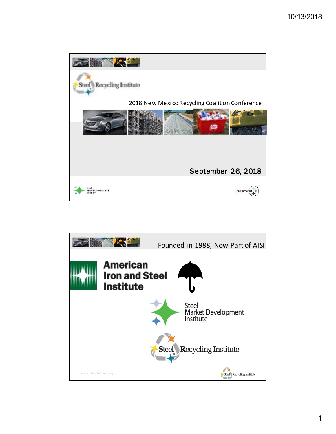

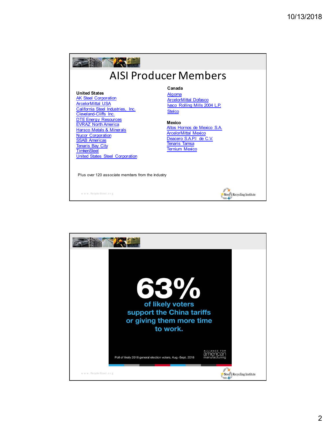

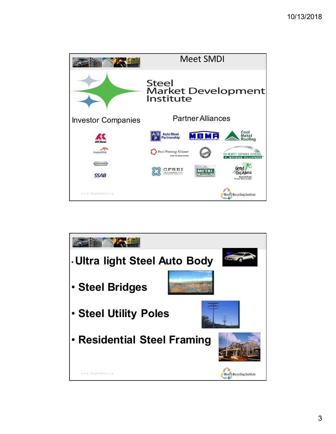

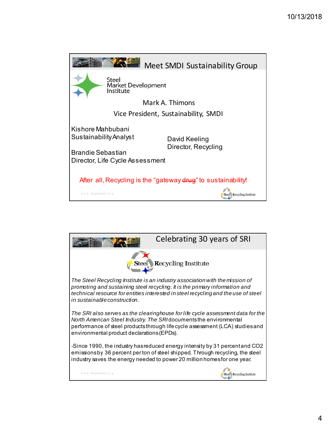

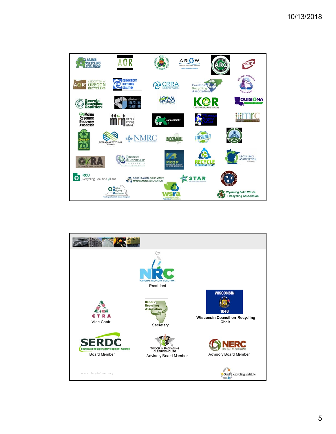

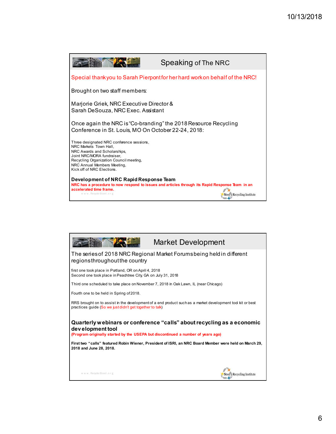

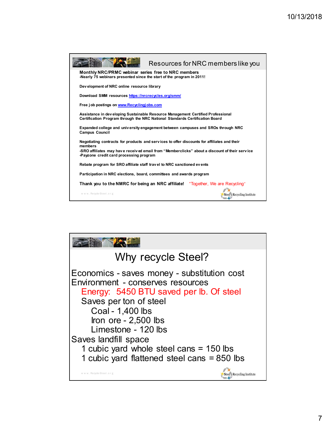

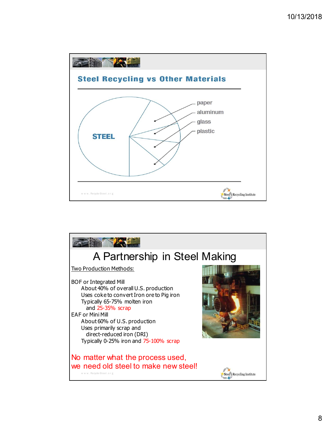

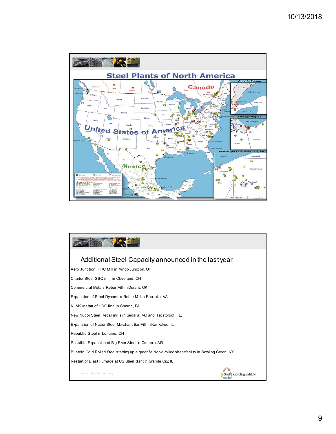